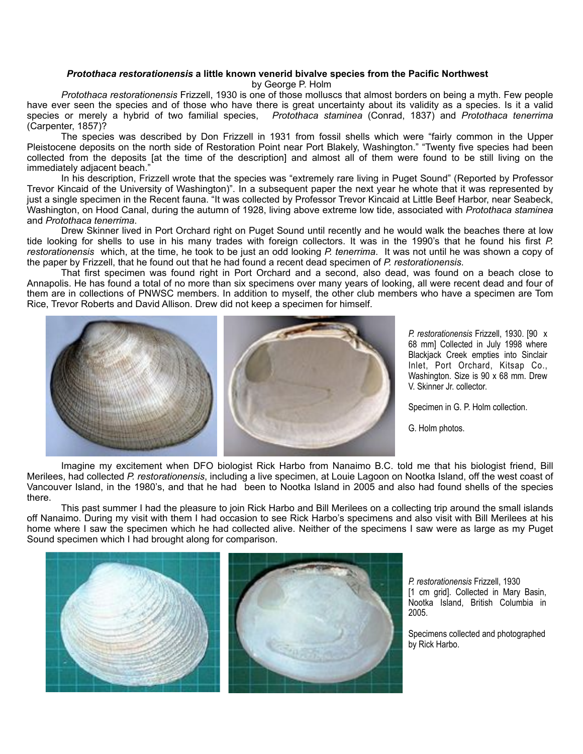## *Protothaca restorationensis* **a little known venerid bivalve species from the Pacific Northwest**

by George P. Holm

*Protothaca restorationensis* Frizzell, 1930 is one of those molluscs that almost borders on being a myth. Few people have ever seen the species and of those who have there is great uncertainty about its validity as a species. Is it a valid species or merely a hybrid of two familial species, *Protothaca staminea* (Conrad, 1837) and *Protothaca tenerrima* (Carpenter, 1857)?

 The species was described by Don Frizzell in 1931 from fossil shells which were "fairly common in the Upper Pleistocene deposits on the north side of Restoration Point near Port Blakely, Washington." "Twenty five species had been collected from the deposits [at the time of the description] and almost all of them were found to be still living on the immediately adjacent beach."

 In his description, Frizzell wrote that the species was "extremely rare living in Puget Sound" (Reported by Professor Trevor Kincaid of the University of Washington)". In a subsequent paper the next year he whote that it was represented by just a single specimen in the Recent fauna. "It was collected by Professor Trevor Kincaid at Little Beef Harbor, near Seabeck, Washington, on Hood Canal, during the autumn of 1928, living above extreme low tide, associated with *Protothaca staminea* and *Protothaca tenerrima*.

 Drew Skinner lived in Port Orchard right on Puget Sound until recently and he would walk the beaches there at low tide looking for shells to use in his many trades with foreign collectors. It was in the 1990's that he found his first *P. restorationensis* which, at the time, he took to be just an odd looking *P. tenerrima*. It was not until he was shown a copy of the paper by Frizzell, that he found out that he had found a recent dead specimen of *P. restorationensis*.

 That first specimen was found right in Port Orchard and a second, also dead, was found on a beach close to Annapolis. He has found a total of no more than six specimens over many years of looking, all were recent dead and four of them are in collections of PNWSC members. In addition to myself, the other club members who have a specimen are Tom Rice, Trevor Roberts and David Allison. Drew did not keep a specimen for himself.



*P. restorationensis* Frizzell, 1930. [90 x 68 mm] Collected in July 1998 where Blackjack Creek empties into Sinclair Inlet, Port Orchard, Kitsap Co., Washington. Size is 90 x 68 mm. Drew V. Skinner Jr. collector.

Specimen in G. P. Holm collection.

G. Holm photos.

 Imagine my excitement when DFO biologist Rick Harbo from Nanaimo B.C. told me that his biologist friend, Bill Merilees, had collected *P. restorationensis*, including a live specimen, at Louie Lagoon on Nootka Island, off the west coast of Vancouver Island, in the 1980's, and that he had been to Nootka Island in 2005 and also had found shells of the species there.

 This past summer I had the pleasure to join Rick Harbo and Bill Merilees on a collecting trip around the small islands off Nanaimo. During my visit with them I had occasion to see Rick Harbo's specimens and also visit with Bill Merilees at his home where I saw the specimen which he had collected alive. Neither of the specimens I saw were as large as my Puget Sound specimen which I had brought along for comparison.



*P. restorationensis* Frizzell, 1930 [1 cm grid]. Collected in Mary Basin, Nootka Island, British Columbia in 2005.

Specimens collected and photographed by Rick Harbo.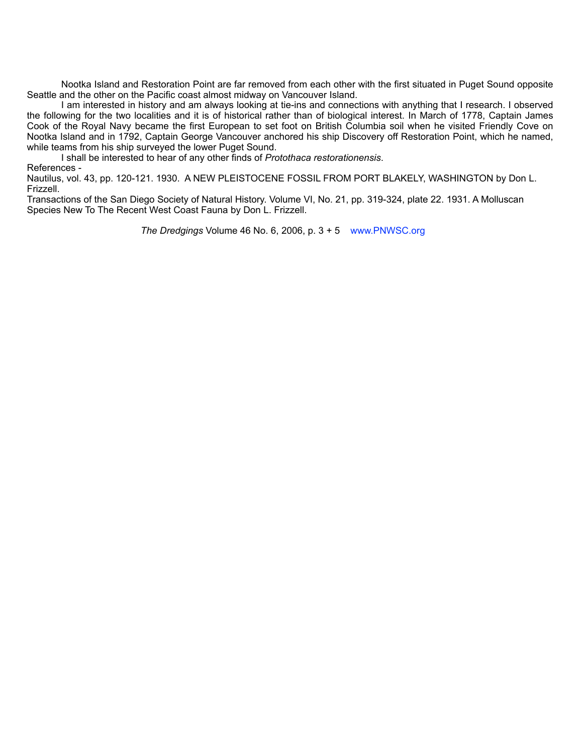Nootka Island and Restoration Point are far removed from each other with the first situated in Puget Sound opposite Seattle and the other on the Pacific coast almost midway on Vancouver Island.

 I am interested in history and am always looking at tie-ins and connections with anything that I research. I observed the following for the two localities and it is of historical rather than of biological interest. In March of 1778, Captain James Cook of the Royal Navy became the first European to set foot on British Columbia soil when he visited Friendly Cove on Nootka Island and in 1792, Captain George Vancouver anchored his ship Discovery off Restoration Point, which he named, while teams from his ship surveyed the lower Puget Sound.

I shall be interested to hear of any other finds of *Protothaca restorationensis*.

References -

Nautilus, vol. 43, pp. 120-121. 1930. A NEW PLEISTOCENE FOSSIL FROM PORT BLAKELY, WASHINGTON by Don L. Frizzell.

Transactions of the San Diego Society of Natural History. Volume VI, No. 21, pp. 319-324, plate 22. 1931. A Molluscan Species New To The Recent West Coast Fauna by Don L. Frizzell.

 *The Dredgings* Volume 46 No. 6, 2006, p. 3 + 5 www.PNWSC.org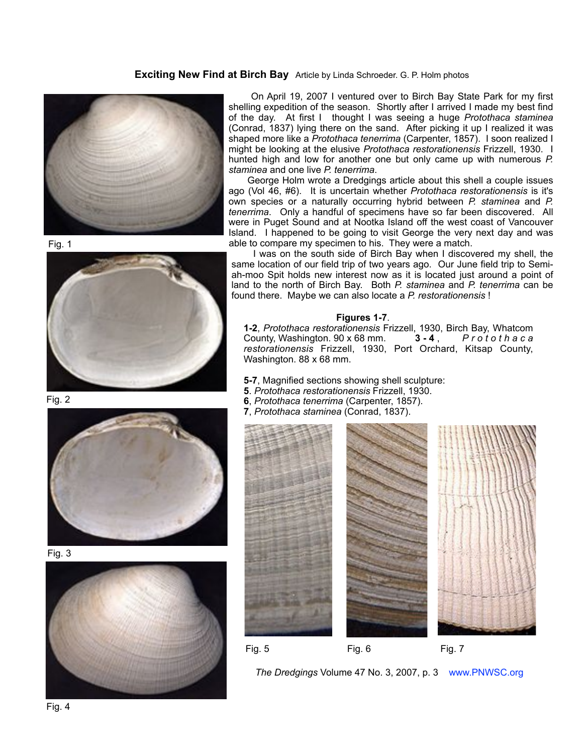## **Exciting New Find at Birch Bay** Article by Linda Schroeder. G. P. Holm photos



Fig. 1



Fig. 2



Fig. 3



 On April 19, 2007 I ventured over to Birch Bay State Park for my first shelling expedition of the season. Shortly after I arrived I made my best find of the day. At first I thought I was seeing a huge *Protothaca staminea* (Conrad, 1837) lying there on the sand. After picking it up I realized it was shaped more like a *Protothaca tenerrima* (Carpenter, 1857). I soon realized I might be looking at the elusive *Protothaca restorationensis* Frizzell, 1930. I hunted high and low for another one but only came up with numerous *P. staminea* and one live *P. tenerrima*.

 George Holm wrote a Dredgings article about this shell a couple issues ago (Vol 46, #6). It is uncertain whether *Protothaca restorationensis* is it's own species or a naturally occurring hybrid between *P. staminea* and *P. tenerrima*. Only a handful of specimens have so far been discovered. All were in Puget Sound and at Nootka Island off the west coast of Vancouver Island. I happened to be going to visit George the very next day and was able to compare my specimen to his. They were a match.

 I was on the south side of Birch Bay when I discovered my shell, the same location of our field trip of two years ago. Our June field trip to Semiah-moo Spit holds new interest now as it is located just around a point of land to the north of Birch Bay. Both *P. staminea* and *P. tenerrima* can be found there. Maybe we can also locate a *P. restorationensis* !

## **Figures 1-7**.

**1-2**, *Protothaca restorationensis* Frizzell, 1930, Birch Bay, Whatcom County, Washington. 90 x 68 mm. **3-4** , *P r o t o t h a c a restorationensis* Frizzell, 1930, Port Orchard, Kitsap County, Washington. 88 x 68 mm.

**5-7**, Magnified sections showing shell sculpture:

- **5**. *Protothaca restorationensis* Frizzell, 1930.
- **6**, *Protothaca tenerrima* (Carpenter, 1857).
- **7**, *Protothaca staminea* (Conrad, 1837).



 *The Dredgings* Volume 47 No. 3, 2007, p. 3 www.PNWSC.org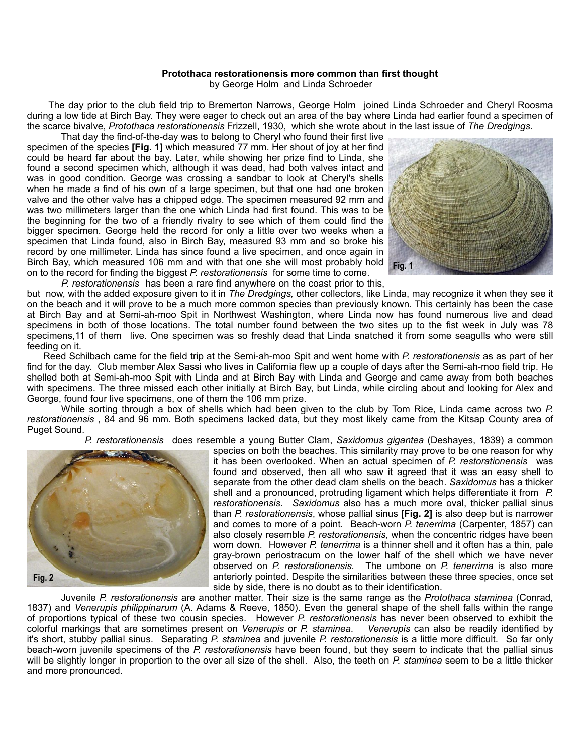## **Protothaca restorationensis more common than first thought**

by George Holm and Linda Schroeder

 The day prior to the club field trip to Bremerton Narrows, George Holm joined Linda Schroeder and Cheryl Roosma during a low tide at Birch Bay. They were eager to check out an area of the bay where Linda had earlier found a specimen of the scarce bivalve, *Protothaca restorationensis* Frizzell, 1930, which she wrote about in the last issue of *The Dredgings*.

 That day the find-of-the-day was to belong to Cheryl who found their first live specimen of the species **[Fig. 1]** which measured 77 mm. Her shout of joy at her find could be heard far about the bay. Later, while showing her prize find to Linda, she found a second specimen which, although it was dead, had both valves intact and was in good condition. George was crossing a sandbar to look at Cheryl's shells when he made a find of his own of a large specimen, but that one had one broken valve and the other valve has a chipped edge. The specimen measured 92 mm and was two millimeters larger than the one which Linda had first found. This was to be the beginning for the two of a friendly rivalry to see which of them could find the bigger specimen. George held the record for only a little over two weeks when a specimen that Linda found, also in Birch Bay, measured 93 mm and so broke his record by one millimeter. Linda has since found a live specimen, and once again in Birch Bay, which measured 106 mm and with that one she will most probably hold on to the record for finding the biggest *P. restorationensis* for some time to come.



*P. restorationensis* has been a rare find anywhere on the coast prior to this, but now, with the added exposure given to it in *The Dredgings,* other collectors, like Linda, may recognize it when they see it on the beach and it will prove to be a much more common species than previously known. This certainly has been the case at Birch Bay and at Semi-ah-moo Spit in Northwest Washington, where Linda now has found numerous live and dead specimens in both of those locations. The total number found between the two sites up to the fist week in July was 78

feeding on it. Reed Schilbach came for the field trip at the Semi-ah-moo Spit and went home with *P. restorationensis* as as part of her find for the day. Club member Alex Sassi who lives in California flew up a couple of days after the Semi-ah-moo field trip. He shelled both at Semi-ah-moo Spit with Linda and at Birch Bay with Linda and George and came away from both beaches with specimens. The three missed each other initially at Birch Bay, but Linda, while circling about and looking for Alex and George, found four live specimens, one of them the 106 mm prize.

specimens,11 of them live. One specimen was so freshly dead that Linda snatched it from some seagulls who were still

 While sorting through a box of shells which had been given to the club by Tom Rice, Linda came across two *P. restorationensis* , 84 and 96 mm. Both specimens lacked data, but they most likely came from the Kitsap County area of Puget Sound.

 *P. restorationensis* does resemble a young Butter Clam, *Saxidomus gigantea* (Deshayes, 1839) a common



species on both the beaches. This similarity may prove to be one reason for why it has been overlooked. When an actual specimen of *P. restorationensis* was found and observed, then all who saw it agreed that it was an easy shell to separate from the other dead clam shells on the beach. *Saxidomus* has a thicker shell and a pronounced, protruding ligament which helps differentiate it from *P. restorationensis. Saxidomus* also has a much more oval, thicker pallial sinus than *P. restorationensis*, whose pallial sinus **[Fig. 2]** is also deep but is narrower and comes to more of a point*.* Beach-worn *P. tenerrima* (Carpenter, 1857) can also closely resemble *P. restorationensis*, when the concentric ridges have been worn down. However *P. tenerrima* is a thinner shell and it often has a thin, pale gray-brown periostracum on the lower half of the shell which we have never observed on *P. restorationensis.* The umbone on *P. tenerrima* is also more anteriorly pointed. Despite the similarities between these three species, once set side by side, there is no doubt as to their identification.

 Juvenile *P. restorationensis* are another matter. Their size is the same range as the *Protothaca staminea* (Conrad, 1837) and *Venerupis philippinarum* (A. Adams & Reeve, 1850). Even the general shape of the shell falls within the range of proportions typical of these two cousin species. However *P. restorationensis* has never been observed to exhibit the colorful markings that are sometimes present on *Venerupis* or *P. staminea*. it's short, stubby pallial sinus. Separating *P. staminea* and juvenile *P. restorationensis* is a little more difficult. So far only beach-worn juvenile specimens of the *P. restorationensis* have been found, but they seem to indicate that the pallial sinus will be slightly longer in proportion to the over all size of the shell. Also, the teeth on *P. staminea* seem to be a little thicker and more pronounced.